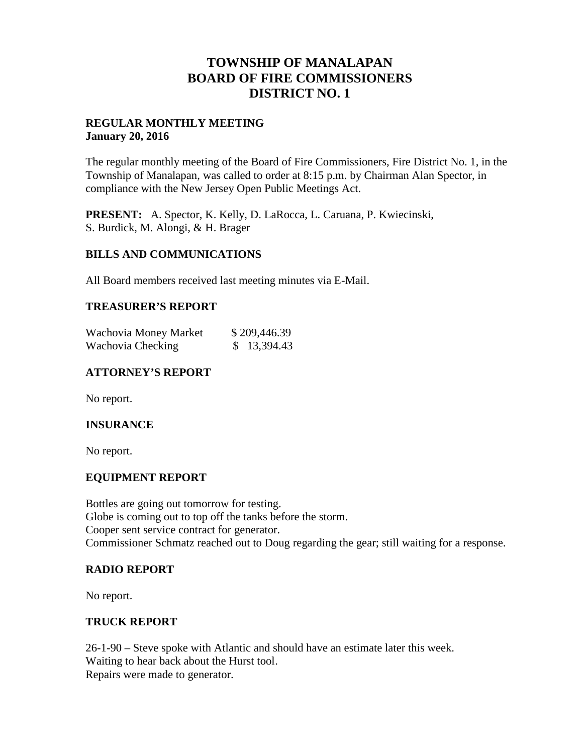## **TOWNSHIP OF MANALAPAN BOARD OF FIRE COMMISSIONERS DISTRICT NO. 1**

#### **REGULAR MONTHLY MEETING January 20, 2016**

The regular monthly meeting of the Board of Fire Commissioners, Fire District No. 1, in the Township of Manalapan, was called to order at 8:15 p.m. by Chairman Alan Spector, in compliance with the New Jersey Open Public Meetings Act.

**PRESENT:** A. Spector, K. Kelly, D. LaRocca, L. Caruana, P. Kwiecinski, S. Burdick, M. Alongi, & H. Brager

### **BILLS AND COMMUNICATIONS**

All Board members received last meeting minutes via E-Mail.

#### **TREASURER'S REPORT**

| Wachovia Money Market | \$209,446.39 |
|-----------------------|--------------|
| Wachovia Checking     | \$13,394.43  |

### **ATTORNEY'S REPORT**

No report.

#### **INSURANCE**

No report.

#### **EQUIPMENT REPORT**

Bottles are going out tomorrow for testing. Globe is coming out to top off the tanks before the storm. Cooper sent service contract for generator. Commissioner Schmatz reached out to Doug regarding the gear; still waiting for a response.

#### **RADIO REPORT**

No report.

#### **TRUCK REPORT**

26-1-90 – Steve spoke with Atlantic and should have an estimate later this week. Waiting to hear back about the Hurst tool. Repairs were made to generator.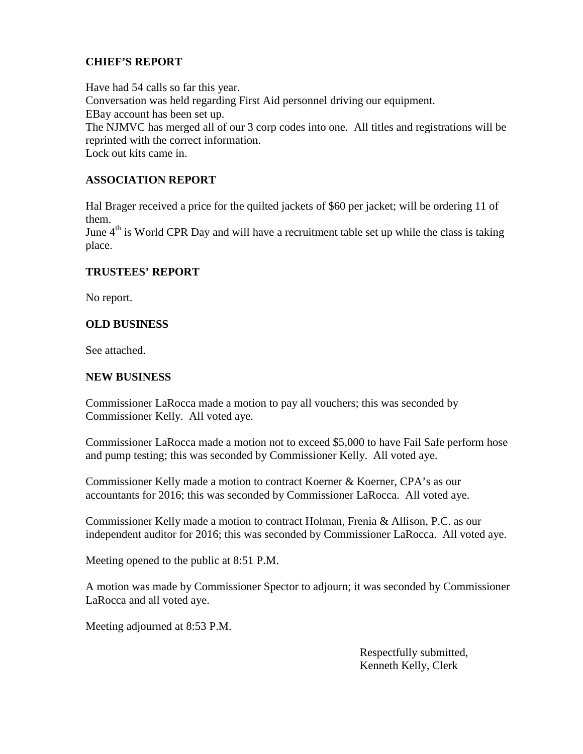## **CHIEF'S REPORT**

Have had 54 calls so far this year. Conversation was held regarding First Aid personnel driving our equipment. EBay account has been set up. The NJMVC has merged all of our 3 corp codes into one. All titles and registrations will be reprinted with the correct information. Lock out kits came in.

## **ASSOCIATION REPORT**

Hal Brager received a price for the quilted jackets of \$60 per jacket; will be ordering 11 of them.

June  $4<sup>th</sup>$  is World CPR Day and will have a recruitment table set up while the class is taking place.

#### **TRUSTEES' REPORT**

No report.

#### **OLD BUSINESS**

See attached.

#### **NEW BUSINESS**

Commissioner LaRocca made a motion to pay all vouchers; this was seconded by Commissioner Kelly. All voted aye.

Commissioner LaRocca made a motion not to exceed \$5,000 to have Fail Safe perform hose and pump testing; this was seconded by Commissioner Kelly. All voted aye.

Commissioner Kelly made a motion to contract Koerner & Koerner, CPA's as our accountants for 2016; this was seconded by Commissioner LaRocca. All voted aye.

Commissioner Kelly made a motion to contract Holman, Frenia & Allison, P.C. as our independent auditor for 2016; this was seconded by Commissioner LaRocca. All voted aye.

Meeting opened to the public at 8:51 P.M.

A motion was made by Commissioner Spector to adjourn; it was seconded by Commissioner LaRocca and all voted aye.

Meeting adjourned at 8:53 P.M.

Respectfully submitted, Kenneth Kelly, Clerk